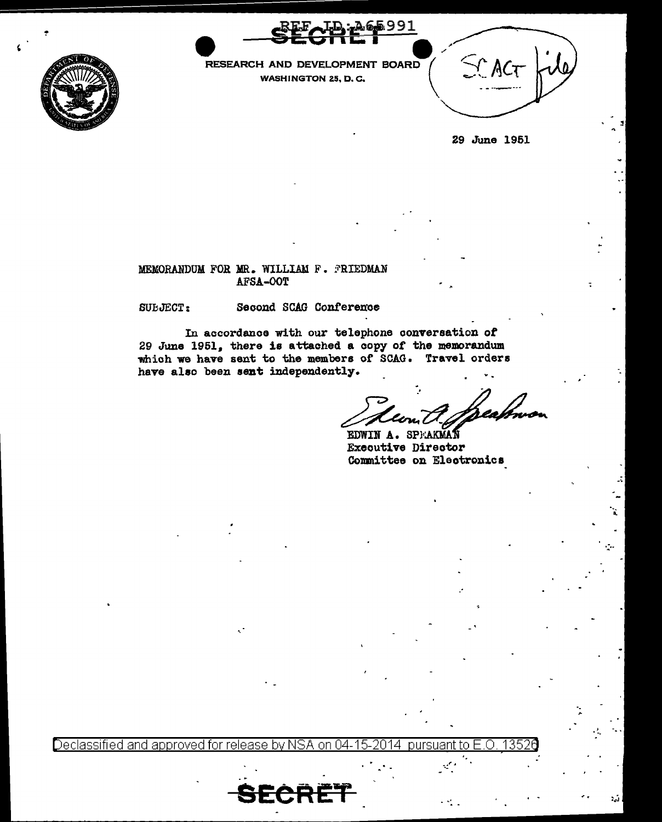



RESEARCH AND DEVELOPMENT BOARD **WASHINGTON 25, D.C.** 



29 June 1951

## MEMORANDUM FOR MR. WILLIAM F. PRIEDMAN AFSA-OOT

SUEJECT:

## Second SCAG Conference

In accordance with our telephone conversation of 29 June 1951, there is attached a copy of the memorandum which we have sent to the members of SCAG. Travel orders have also been sent independently.

EDWIN A. SPEAKMAN Executive Director Committee on Electronics

<u>Declassified and approved for release by NSA</u> on. pursuant tΩ